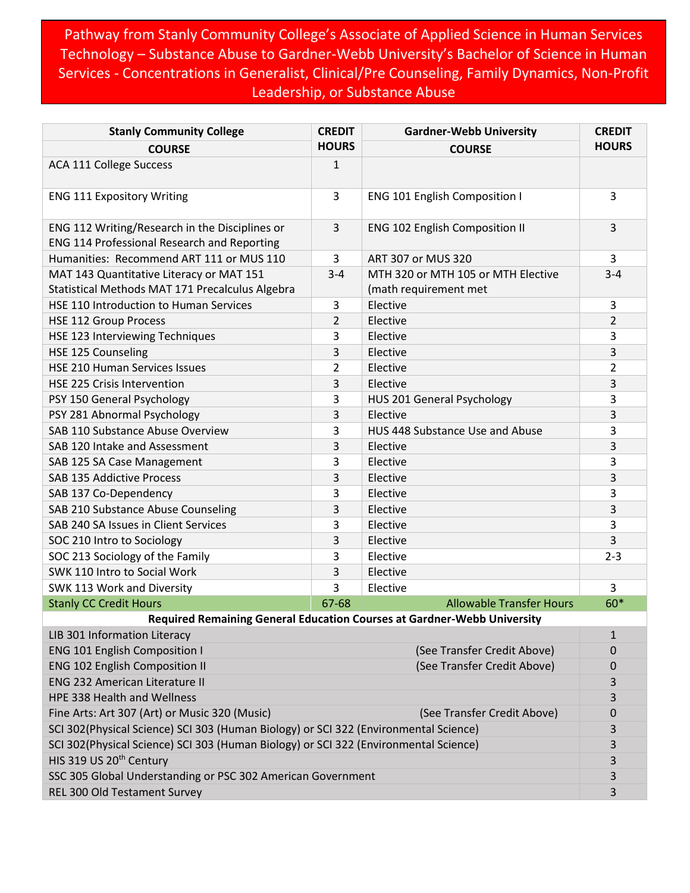Pathway from Stanly Community College's Associate of Applied Science in Human Services Technology – Substance Abuse to Gardner-Webb University's Bachelor of Science in Human Services - Concentrations in Generalist, Clinical/Pre Counseling, Family Dynamics, Non-Profit Leadership, or Substance Abuse

| <b>Stanly Community College</b>                                                                      | <b>CREDIT</b>  | <b>Gardner-Webb University</b>                                          | <b>CREDIT</b>  |
|------------------------------------------------------------------------------------------------------|----------------|-------------------------------------------------------------------------|----------------|
| <b>COURSE</b>                                                                                        | <b>HOURS</b>   | <b>COURSE</b>                                                           | <b>HOURS</b>   |
| <b>ACA 111 College Success</b>                                                                       | $\mathbf{1}$   |                                                                         |                |
| <b>ENG 111 Expository Writing</b>                                                                    | 3              | <b>ENG 101 English Composition I</b>                                    | 3              |
| ENG 112 Writing/Research in the Disciplines or<br><b>ENG 114 Professional Research and Reporting</b> | 3              | <b>ENG 102 English Composition II</b>                                   | 3              |
| Humanities: Recommend ART 111 or MUS 110                                                             | 3              | ART 307 or MUS 320                                                      | 3              |
| MAT 143 Quantitative Literacy or MAT 151                                                             | $3 - 4$        | MTH 320 or MTH 105 or MTH Elective                                      | $3 - 4$        |
| Statistical Methods MAT 171 Precalculus Algebra                                                      |                | (math requirement met                                                   |                |
| HSE 110 Introduction to Human Services                                                               | 3              | Elective                                                                | 3              |
| <b>HSE 112 Group Process</b>                                                                         | $\overline{2}$ | Elective                                                                | $\overline{2}$ |
| HSE 123 Interviewing Techniques                                                                      | 3              | Elective                                                                | 3              |
| HSE 125 Counseling                                                                                   | 3              | Elective                                                                | 3              |
| HSE 210 Human Services Issues                                                                        | $\overline{2}$ | Elective                                                                | $\overline{2}$ |
| <b>HSE 225 Crisis Intervention</b>                                                                   | 3              | Elective                                                                | 3              |
| PSY 150 General Psychology                                                                           | 3              | HUS 201 General Psychology                                              | 3              |
| PSY 281 Abnormal Psychology                                                                          | 3              | Elective                                                                | 3              |
| SAB 110 Substance Abuse Overview                                                                     | 3              | HUS 448 Substance Use and Abuse                                         | 3              |
| SAB 120 Intake and Assessment                                                                        | 3              | Elective                                                                | 3              |
| SAB 125 SA Case Management                                                                           | 3              | Elective                                                                | 3              |
| SAB 135 Addictive Process                                                                            | 3              | Elective                                                                | 3              |
| SAB 137 Co-Dependency                                                                                | 3              | Elective                                                                | 3              |
| SAB 210 Substance Abuse Counseling                                                                   | 3              | Elective                                                                | 3              |
| SAB 240 SA Issues in Client Services                                                                 | 3              | Elective                                                                | 3              |
| SOC 210 Intro to Sociology                                                                           | 3              | Elective                                                                | 3              |
| SOC 213 Sociology of the Family                                                                      | 3              | Elective                                                                | $2 - 3$        |
| SWK 110 Intro to Social Work                                                                         | 3              | Elective                                                                |                |
| SWK 113 Work and Diversity                                                                           | 3              | Elective                                                                | 3              |
| <b>Stanly CC Credit Hours</b>                                                                        | 67-68          | <b>Allowable Transfer Hours</b>                                         | $60*$          |
|                                                                                                      |                | Required Remaining General Education Courses at Gardner-Webb University |                |
| LIB 301 Information Literacy                                                                         |                |                                                                         | 1              |
| <b>ENG 101 English Composition I</b>                                                                 |                | (See Transfer Credit Above)                                             | 0              |
| <b>ENG 102 English Composition II</b>                                                                |                | (See Transfer Credit Above)                                             | $\mathbf 0$    |
| <b>ENG 232 American Literature II</b>                                                                |                |                                                                         | 3              |
| <b>HPE 338 Health and Wellness</b>                                                                   |                |                                                                         | 3              |
| Fine Arts: Art 307 (Art) or Music 320 (Music)                                                        |                | (See Transfer Credit Above)                                             | 0              |
| SCI 302(Physical Science) SCI 303 (Human Biology) or SCI 322 (Environmental Science)                 |                |                                                                         |                |
| SCI 302(Physical Science) SCI 303 (Human Biology) or SCI 322 (Environmental Science)                 |                |                                                                         | 3              |
| HIS 319 US 20 <sup>th</sup> Century                                                                  |                |                                                                         | 3              |
| SSC 305 Global Understanding or PSC 302 American Government                                          |                |                                                                         | 3              |
| REL 300 Old Testament Survey                                                                         |                |                                                                         | 3              |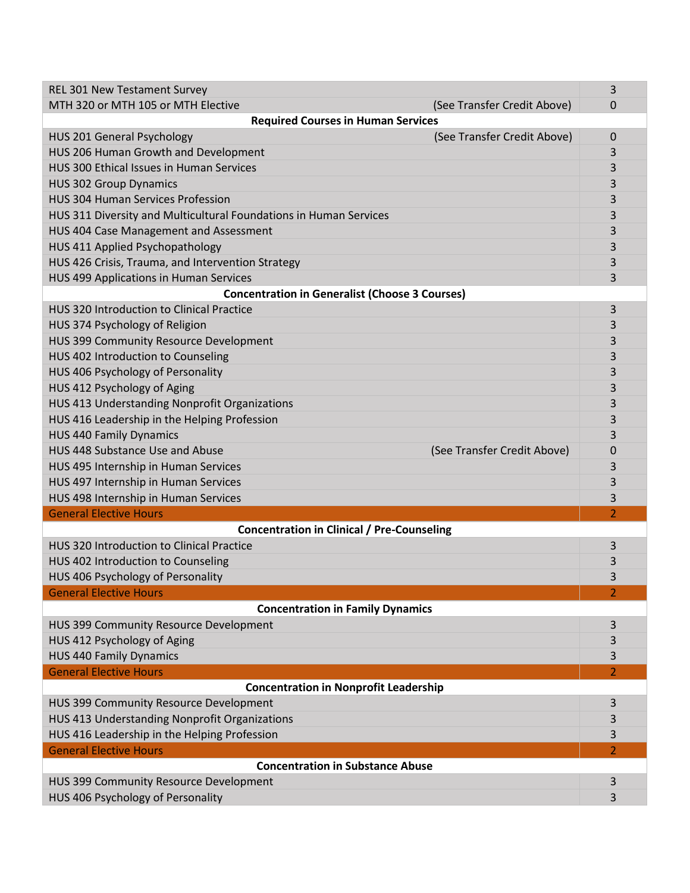| <b>REL 301 New Testament Survey</b>                               | 3              |  |  |
|-------------------------------------------------------------------|----------------|--|--|
| MTH 320 or MTH 105 or MTH Elective<br>(See Transfer Credit Above) | 0              |  |  |
| <b>Required Courses in Human Services</b>                         |                |  |  |
| (See Transfer Credit Above)<br>HUS 201 General Psychology         | 0              |  |  |
| HUS 206 Human Growth and Development                              | 3              |  |  |
| HUS 300 Ethical Issues in Human Services                          | 3              |  |  |
| <b>HUS 302 Group Dynamics</b>                                     | 3              |  |  |
| <b>HUS 304 Human Services Profession</b>                          | 3              |  |  |
| HUS 311 Diversity and Multicultural Foundations in Human Services | 3              |  |  |
| HUS 404 Case Management and Assessment                            |                |  |  |
| HUS 411 Applied Psychopathology                                   | 3              |  |  |
| HUS 426 Crisis, Trauma, and Intervention Strategy                 | 3              |  |  |
| HUS 499 Applications in Human Services                            | 3              |  |  |
| <b>Concentration in Generalist (Choose 3 Courses)</b>             |                |  |  |
| HUS 320 Introduction to Clinical Practice                         | 3              |  |  |
| HUS 374 Psychology of Religion                                    | 3              |  |  |
| HUS 399 Community Resource Development                            | 3              |  |  |
| HUS 402 Introduction to Counseling                                | 3              |  |  |
| HUS 406 Psychology of Personality                                 | 3              |  |  |
| HUS 412 Psychology of Aging                                       | 3              |  |  |
| HUS 413 Understanding Nonprofit Organizations                     | 3              |  |  |
| HUS 416 Leadership in the Helping Profession                      | 3              |  |  |
| <b>HUS 440 Family Dynamics</b>                                    | 3              |  |  |
| HUS 448 Substance Use and Abuse<br>(See Transfer Credit Above)    | 0              |  |  |
| HUS 495 Internship in Human Services                              | 3              |  |  |
| HUS 497 Internship in Human Services                              | 3              |  |  |
| HUS 498 Internship in Human Services                              | 3              |  |  |
| <b>General Elective Hours</b>                                     | $\overline{2}$ |  |  |
| <b>Concentration in Clinical / Pre-Counseling</b>                 |                |  |  |
| HUS 320 Introduction to Clinical Practice                         | 3              |  |  |
| HUS 402 Introduction to Counseling                                | 3              |  |  |
| HUS 406 Psychology of Personality                                 | 3              |  |  |
| <b>General Elective Hours</b>                                     |                |  |  |
|                                                                   |                |  |  |
| <b>Concentration in Family Dynamics</b>                           |                |  |  |
| HUS 399 Community Resource Development                            | 3              |  |  |
|                                                                   | 3              |  |  |
| HUS 412 Psychology of Aging<br><b>HUS 440 Family Dynamics</b>     | 3              |  |  |
| <b>General Elective Hours</b>                                     | 2              |  |  |
| <b>Concentration in Nonprofit Leadership</b>                      |                |  |  |
| HUS 399 Community Resource Development                            | 3              |  |  |
| HUS 413 Understanding Nonprofit Organizations                     | 3              |  |  |
| HUS 416 Leadership in the Helping Profession                      | 3              |  |  |
| <b>General Elective Hours</b>                                     | $\overline{2}$ |  |  |
| <b>Concentration in Substance Abuse</b>                           |                |  |  |
| HUS 399 Community Resource Development                            | 3              |  |  |